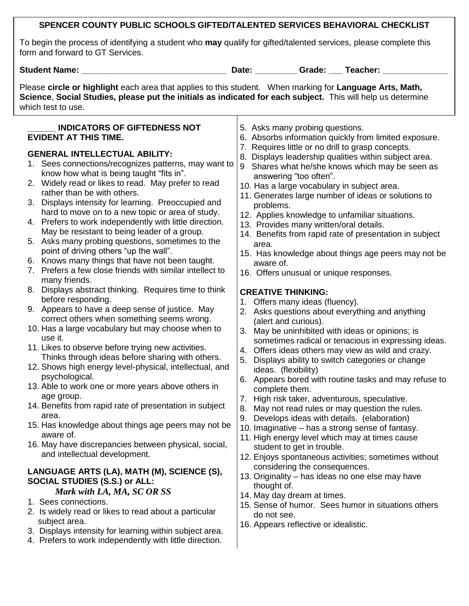# **SPENCER COUNTY PUBLIC SCHOOLS GIFTED/TALENTED SERVICES BEHAVIORAL CHECKLIST**

To begin the process of identifying a student who **may** qualify for gifted/talented services, please complete this form and forward to GT Services.

**Student Name: \_\_\_\_\_\_\_\_\_\_\_\_\_\_\_\_\_\_\_\_\_\_\_\_\_\_\_\_\_\_\_ Date: \_\_\_\_\_\_\_\_\_ Grade: \_\_\_ Teacher: \_\_\_\_\_\_\_\_\_\_\_\_\_\_**

Please **circle or highlight** each area that applies to this student. When marking for **Language Arts, Math, Science**, **Social Studies, please put the initials as indicated for each subject.** This will help us determine which test to use.

| <b>INDICATORS OF GIFTEDNESS NOT</b><br><b>EVIDENT AT THIS TIME.</b><br><b>GENERAL INTELLECTUAL ABILITY:</b><br>1. Sees connections/recognizes patterns, may want to<br>know how what is being taught "fits in".<br>2. Widely read or likes to read. May prefer to read<br>rather than be with others.<br>3. Displays intensity for learning. Preoccupied and<br>hard to move on to a new topic or area of study.<br>4. Prefers to work independently with little direction.<br>May be resistant to being leader of a group.<br>5. Asks many probing questions, sometimes to the<br>point of driving others "up the wall".<br>6. Knows many things that have not been taught.<br>7. Prefers a few close friends with similar intellect to<br>many friends.<br>8. Displays abstract thinking. Requires time to think<br>before responding.<br>9. Appears to have a deep sense of justice. May<br>correct others when something seems wrong.<br>10. Has a large vocabulary but may choose when to<br>use it.<br>11. Likes to observe before trying new activities.<br>Thinks through ideas before sharing with others.<br>12. Shows high energy level-physical, intellectual, and<br>psychological.<br>13. Able to work one or more years above others in<br>age group.<br>14. Benefits from rapid rate of presentation in subject<br>area.<br>15. Has knowledge about things age peers may not be<br>aware of.<br>16. May have discrepancies between physical, social, | 5. Asks many probing questions.<br>6. Absorbs information quickly from limited exposure.<br>7. Requires little or no drill to grasp concepts.<br>Displays leadership qualities within subject area.<br>8.<br>Shares what he/she knows which may be seen as<br>9<br>answering "too often".<br>10. Has a large vocabulary in subject area.<br>11. Generates large number of ideas or solutions to<br>problems.<br>12. Applies knowledge to unfamiliar situations.<br>13. Provides many written/oral details.<br>14. Benefits from rapid rate of presentation in subject<br>area.<br>15. Has knowledge about things age peers may not be<br>aware of.<br>16. Offers unusual or unique responses.<br><b>CREATIVE THINKING:</b><br>Offers many ideas (fluency).<br>1.<br>2. Asks questions about everything and anything<br>(alert and curious).<br>May be uninhibited with ideas or opinions; is<br>3.<br>sometimes radical or tenacious in expressing ideas.<br>Offers ideas others may view as wild and crazy.<br>4.<br>Displays ability to switch categories or change<br>5.<br>ideas. (flexibility)<br>Appears bored with routine tasks and may refuse to<br>6.<br>complete them.<br>High risk taker, adventurous, speculative.<br>7.<br>May not read rules or may question the rules.<br>8.<br>Develops ideas with details. (elaboration)<br>9.<br>10. Imaginative – has a strong sense of fantasy.<br>11. High energy level which may at times cause<br>student to get in trouble. |
|----------------------------------------------------------------------------------------------------------------------------------------------------------------------------------------------------------------------------------------------------------------------------------------------------------------------------------------------------------------------------------------------------------------------------------------------------------------------------------------------------------------------------------------------------------------------------------------------------------------------------------------------------------------------------------------------------------------------------------------------------------------------------------------------------------------------------------------------------------------------------------------------------------------------------------------------------------------------------------------------------------------------------------------------------------------------------------------------------------------------------------------------------------------------------------------------------------------------------------------------------------------------------------------------------------------------------------------------------------------------------------------------------------------------------------------------------------------------|--------------------------------------------------------------------------------------------------------------------------------------------------------------------------------------------------------------------------------------------------------------------------------------------------------------------------------------------------------------------------------------------------------------------------------------------------------------------------------------------------------------------------------------------------------------------------------------------------------------------------------------------------------------------------------------------------------------------------------------------------------------------------------------------------------------------------------------------------------------------------------------------------------------------------------------------------------------------------------------------------------------------------------------------------------------------------------------------------------------------------------------------------------------------------------------------------------------------------------------------------------------------------------------------------------------------------------------------------------------------------------------------------------------------------------------------------------------------------------------|
| and intellectual development.<br>LANGUAGE ARTS (LA), MATH (M), SCIENCE (S),<br><b>SOCIAL STUDIES (S.S.) or ALL:</b><br>Mark with LA, MA, SC OR SS<br>1. Sees connections.<br>2. Is widely read or likes to read about a particular<br>subject area.<br>3. Displays intensity for learning within subject area.<br>4. Prefers to work independently with little direction.                                                                                                                                                                                                                                                                                                                                                                                                                                                                                                                                                                                                                                                                                                                                                                                                                                                                                                                                                                                                                                                                                            | 12. Enjoys spontaneous activities; sometimes without<br>considering the consequences.<br>13. Originality - has ideas no one else may have<br>thought of.<br>14. May day dream at times.<br>15. Sense of humor. Sees humor in situations others<br>do not see.<br>16. Appears reflective or idealistic.                                                                                                                                                                                                                                                                                                                                                                                                                                                                                                                                                                                                                                                                                                                                                                                                                                                                                                                                                                                                                                                                                                                                                                               |